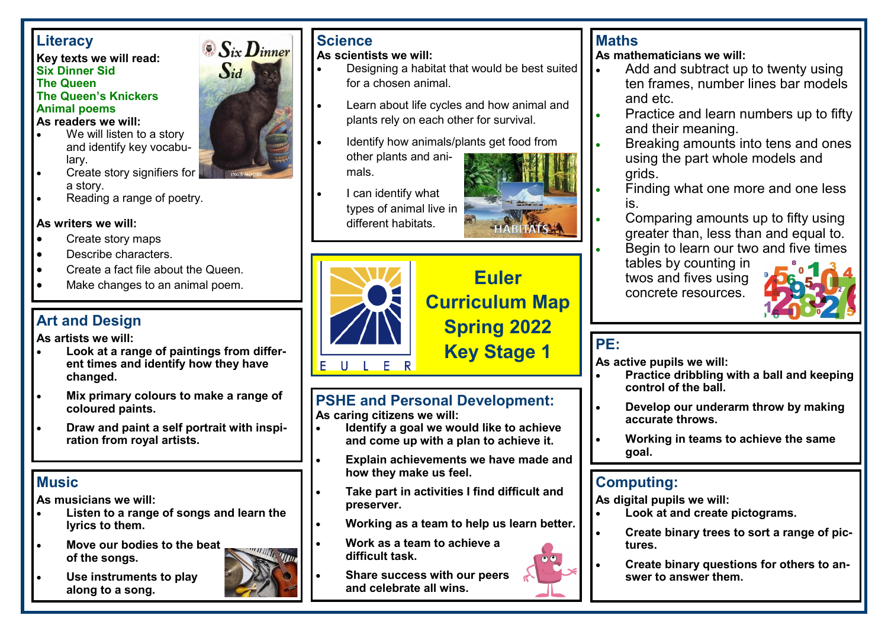### **Literacy**

#### **Key texts we will read: Six Dinner Sid The Queen The Queen's Knickers Animal poems As readers we will:**

- We will listen to a story and identify key vocabulary.
- Create story signifiers for a story.
- Reading a range of poetry.

#### **As writers we will:**

- Create story maps
- Describe characters.
- Create a fact file about the Queen.
- Make changes to an animal poem.

# **Art and Design**

**As artists we will:**

- **Look at a range of paintings from different times and identify how they have changed.**
- **Mix primary colours to make a range of coloured paints.**
- **Draw and paint a self portrait with inspiration from royal artists.**

# **Music**

**As musicians we will:**

- **Listen to a range of songs and learn the lyrics to them.**
- **Move our bodies to the beat of the songs.**



• **Use instruments to play along to a song.** 



# **Science**

**As scientists we will:**

- Designing a habitat that would be best suited for a chosen animal.
- Learn about life cycles and how animal and plants rely on each other for survival.
- Identify how animals/plants get food from other plants and animals.
- I can identify what types of animal live in different habitats.





# **Euler Curriculum Map Spring 2022**

# **Key Stage 1**

#### **PSHE and Personal Development: As caring citizens we will:**

- **Identify a goal we would like to achieve and come up with a plan to achieve it.**
- **Explain achievements we have made and how they make us feel.**
- **Take part in activities I find difficult and preserver.**
- **Working as a team to help us learn better.**
- **Work as a team to achieve a difficult task.**
- 

# **Maths**

**As mathematicians we will:**

- Add and subtract up to twenty using ten frames, number lines bar models and etc.
- Practice and learn numbers up to fifty and their meaning.
- Breaking amounts into tens and ones using the part whole models and grids.
- Finding what one more and one less is.
- Comparing amounts up to fifty using greater than, less than and equal to.
- Begin to learn our two and five times
- tables by counting in twos and fives using concrete resources.



# **PE:**

**As active pupils we will:**

- **Practice dribbling with a ball and keeping control of the ball.**
- **Develop our underarm throw by making accurate throws.**
- **Working in teams to achieve the same goal.**

# **Computing:**

**As digital pupils we will:**

- **Look at and create pictograms.**
- **Create binary trees to sort a range of pictures.**
- **Create binary questions for others to answer to answer them.**